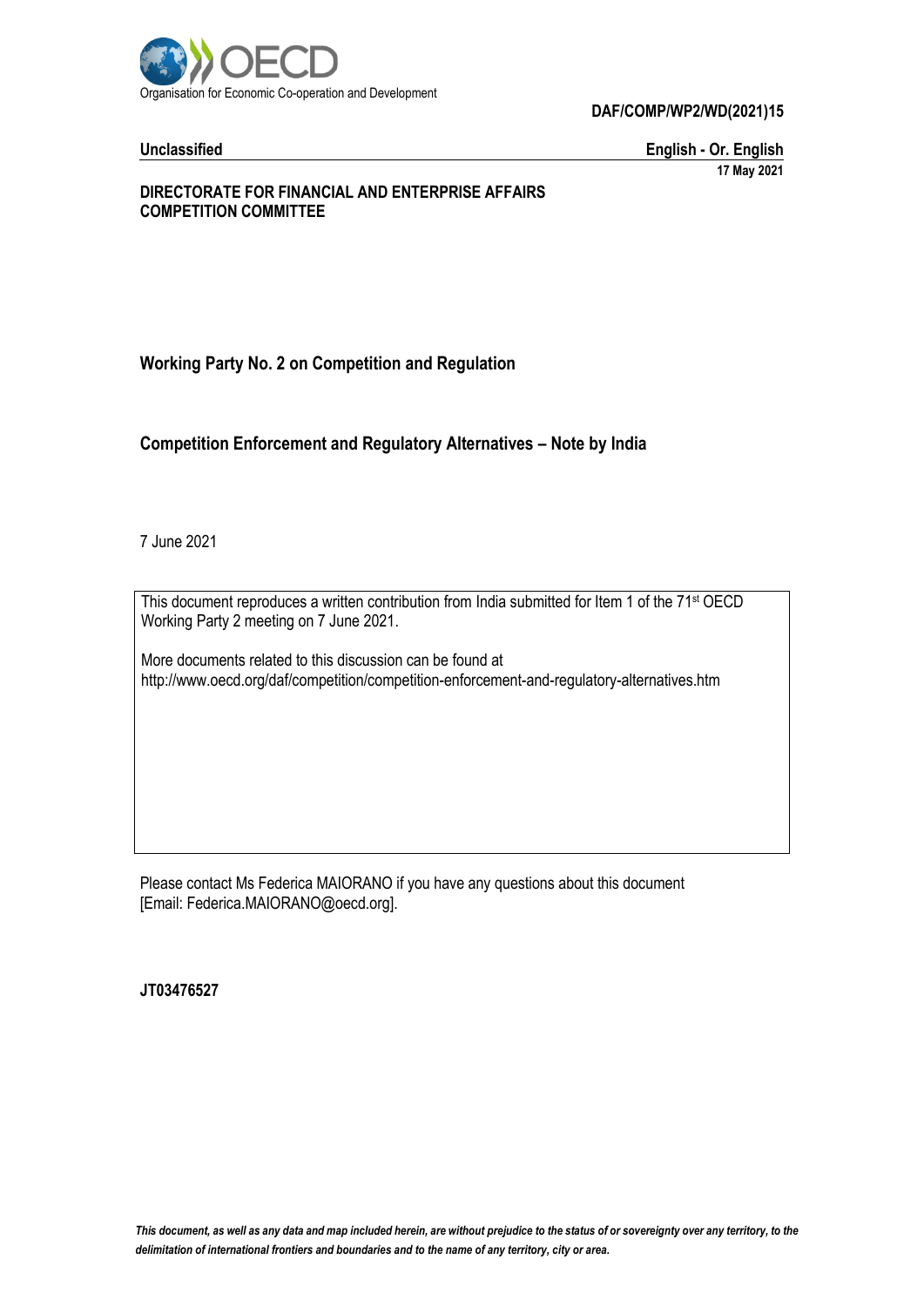

**DAF/COMP/WP2/WD(2021)15**

**Unclassified English - Or. English 17 May 2021**

### **DIRECTORATE FOR FINANCIAL AND ENTERPRISE AFFAIRS COMPETITION COMMITTEE**

# **Working Party No. 2 on Competition and Regulation**

# **Competition Enforcement and Regulatory Alternatives – Note by India**

7 June 2021

This document reproduces a written contribution from India submitted for Item 1 of the 71<sup>st</sup> OECD Working Party 2 meeting on 7 June 2021.

More documents related to this discussion can be found at http://www.oecd.org/daf/competition/competition-enforcement-and-regulatory-alternatives.htm

Please contact Ms Federica MAIORANO if you have any questions about this document [Email: Federica.MAIORANO@oecd.org].

**JT03476527**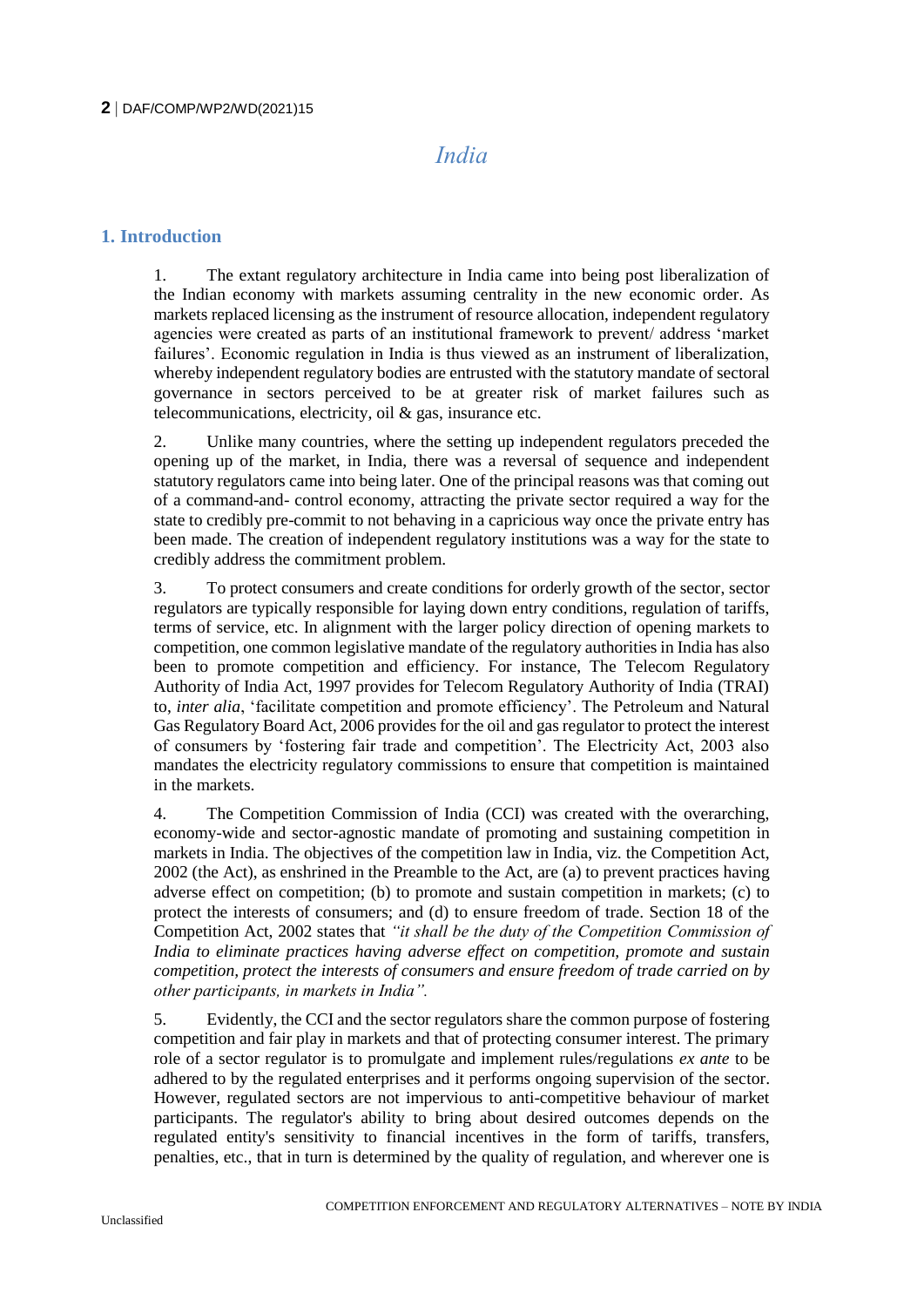# *India*

# **1. Introduction**

1. The extant regulatory architecture in India came into being post liberalization of the Indian economy with markets assuming centrality in the new economic order. As markets replaced licensing as the instrument of resource allocation, independent regulatory agencies were created as parts of an institutional framework to prevent/ address 'market failures'. Economic regulation in India is thus viewed as an instrument of liberalization, whereby independent regulatory bodies are entrusted with the statutory mandate of sectoral governance in sectors perceived to be at greater risk of market failures such as telecommunications, electricity, oil & gas, insurance etc.

2. Unlike many countries, where the setting up independent regulators preceded the opening up of the market, in India, there was a reversal of sequence and independent statutory regulators came into being later. One of the principal reasons was that coming out of a command-and- control economy, attracting the private sector required a way for the state to credibly pre-commit to not behaving in a capricious way once the private entry has been made. The creation of independent regulatory institutions was a way for the state to credibly address the commitment problem.

3. To protect consumers and create conditions for orderly growth of the sector, sector regulators are typically responsible for laying down entry conditions, regulation of tariffs, terms of service, etc. In alignment with the larger policy direction of opening markets to competition, one common legislative mandate of the regulatory authorities in India has also been to promote competition and efficiency. For instance, The Telecom Regulatory Authority of India Act, 1997 provides for Telecom Regulatory Authority of India (TRAI) to, *inter alia*, 'facilitate competition and promote efficiency'. The Petroleum and Natural Gas Regulatory Board Act, 2006 provides for the oil and gas regulator to protect the interest of consumers by 'fostering fair trade and competition'. The Electricity Act, 2003 also mandates the electricity regulatory commissions to ensure that competition is maintained in the markets.

4. The Competition Commission of India (CCI) was created with the overarching, economy-wide and sector-agnostic mandate of promoting and sustaining competition in markets in India. The objectives of the competition law in India, viz. the Competition Act, 2002 (the Act), as enshrined in the Preamble to the Act, are (a) to prevent practices having adverse effect on competition; (b) to promote and sustain competition in markets; (c) to protect the interests of consumers; and (d) to ensure freedom of trade. Section 18 of the Competition Act, 2002 states that *"it shall be the duty of the Competition Commission of India to eliminate practices having adverse effect on competition, promote and sustain competition, protect the interests of consumers and ensure freedom of trade carried on by other participants, in markets in India".* 

5. Evidently, the CCI and the sector regulators share the common purpose of fostering competition and fair play in markets and that of protecting consumer interest. The primary role of a sector regulator is to promulgate and implement rules/regulations *ex ante* to be adhered to by the regulated enterprises and it performs ongoing supervision of the sector. However, regulated sectors are not impervious to anti-competitive behaviour of market participants. The regulator's ability to bring about desired outcomes depends on the regulated entity's sensitivity to financial incentives in the form of tariffs, transfers, penalties, etc., that in turn is determined by the quality of regulation, and wherever one is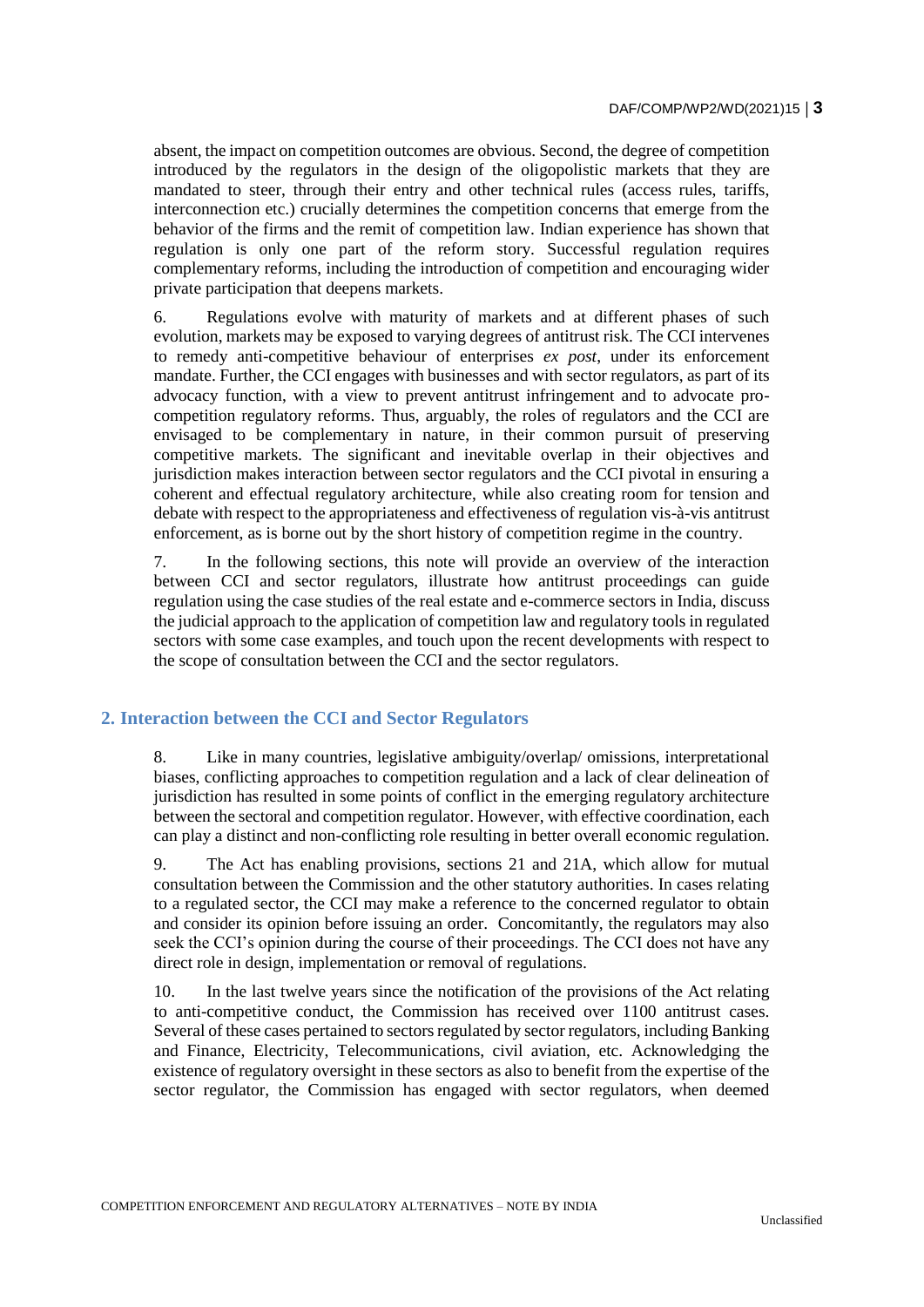absent, the impact on competition outcomes are obvious. Second, the degree of competition introduced by the regulators in the design of the oligopolistic markets that they are mandated to steer, through their entry and other technical rules (access rules, tariffs, interconnection etc.) crucially determines the competition concerns that emerge from the behavior of the firms and the remit of competition law. Indian experience has shown that regulation is only one part of the reform story. Successful regulation requires complementary reforms, including the introduction of competition and encouraging wider private participation that deepens markets.

6. Regulations evolve with maturity of markets and at different phases of such evolution, markets may be exposed to varying degrees of antitrust risk. The CCI intervenes to remedy anti-competitive behaviour of enterprises *ex post*, under its enforcement mandate. Further, the CCI engages with businesses and with sector regulators, as part of its advocacy function, with a view to prevent antitrust infringement and to advocate procompetition regulatory reforms. Thus, arguably, the roles of regulators and the CCI are envisaged to be complementary in nature, in their common pursuit of preserving competitive markets. The significant and inevitable overlap in their objectives and jurisdiction makes interaction between sector regulators and the CCI pivotal in ensuring a coherent and effectual regulatory architecture, while also creating room for tension and debate with respect to the appropriateness and effectiveness of regulation vis-à-vis antitrust enforcement, as is borne out by the short history of competition regime in the country.

7. In the following sections, this note will provide an overview of the interaction between CCI and sector regulators, illustrate how antitrust proceedings can guide regulation using the case studies of the real estate and e-commerce sectors in India, discuss the judicial approach to the application of competition law and regulatory tools in regulated sectors with some case examples, and touch upon the recent developments with respect to the scope of consultation between the CCI and the sector regulators.

# **2. Interaction between the CCI and Sector Regulators**

8. Like in many countries, legislative ambiguity/overlap/ omissions, interpretational biases, conflicting approaches to competition regulation and a lack of clear delineation of jurisdiction has resulted in some points of conflict in the emerging regulatory architecture between the sectoral and competition regulator. However, with effective coordination, each can play a distinct and non-conflicting role resulting in better overall economic regulation.

9. The Act has enabling provisions, sections 21 and 21A, which allow for mutual consultation between the Commission and the other statutory authorities. In cases relating to a regulated sector, the CCI may make a reference to the concerned regulator to obtain and consider its opinion before issuing an order. Concomitantly, the regulators may also seek the CCI's opinion during the course of their proceedings. The CCI does not have any direct role in design, implementation or removal of regulations.

10. In the last twelve years since the notification of the provisions of the Act relating to anti-competitive conduct, the Commission has received over 1100 antitrust cases. Several of these cases pertained to sectors regulated by sector regulators, including Banking and Finance, Electricity, Telecommunications, civil aviation, etc. Acknowledging the existence of regulatory oversight in these sectors as also to benefit from the expertise of the sector regulator, the Commission has engaged with sector regulators, when deemed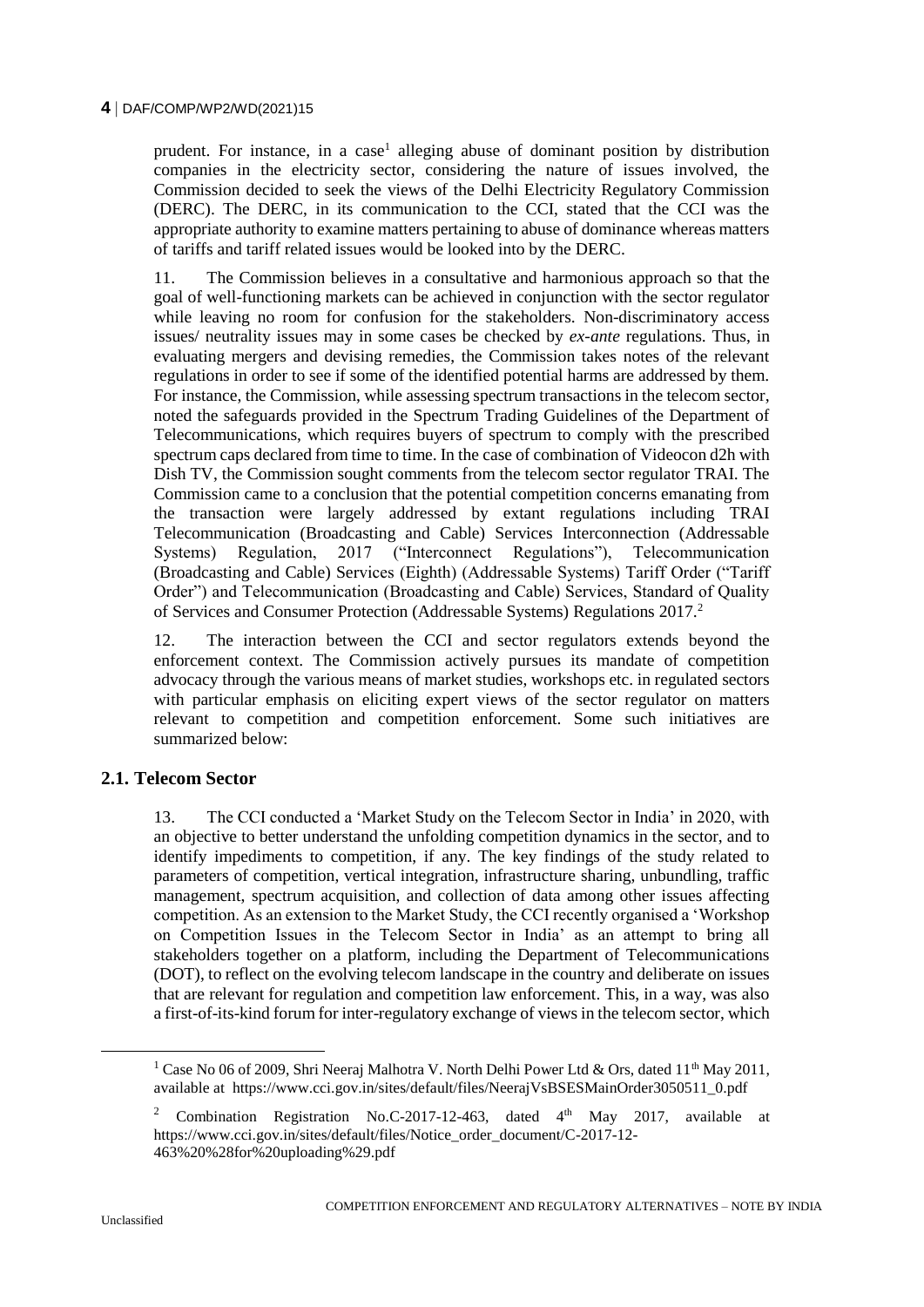prudent. For instance, in a case<sup>1</sup> alleging abuse of dominant position by distribution companies in the electricity sector, considering the nature of issues involved, the Commission decided to seek the views of the Delhi Electricity Regulatory Commission (DERC). The DERC, in its communication to the CCI, stated that the CCI was the appropriate authority to examine matters pertaining to abuse of dominance whereas matters of tariffs and tariff related issues would be looked into by the DERC.

11. The Commission believes in a consultative and harmonious approach so that the goal of well-functioning markets can be achieved in conjunction with the sector regulator while leaving no room for confusion for the stakeholders. Non-discriminatory access issues/ neutrality issues may in some cases be checked by *ex-ante* regulations. Thus, in evaluating mergers and devising remedies, the Commission takes notes of the relevant regulations in order to see if some of the identified potential harms are addressed by them. For instance, the Commission, while assessing spectrum transactions in the telecom sector, noted the safeguards provided in the Spectrum Trading Guidelines of the Department of Telecommunications, which requires buyers of spectrum to comply with the prescribed spectrum caps declared from time to time. In the case of combination of Videocon d2h with Dish TV, the Commission sought comments from the telecom sector regulator TRAI. The Commission came to a conclusion that the potential competition concerns emanating from the transaction were largely addressed by extant regulations including TRAI Telecommunication (Broadcasting and Cable) Services Interconnection (Addressable Systems) Regulation, 2017 ("Interconnect Regulations"), Telecommunication (Broadcasting and Cable) Services (Eighth) (Addressable Systems) Tariff Order ("Tariff Order") and Telecommunication (Broadcasting and Cable) Services, Standard of Quality of Services and Consumer Protection (Addressable Systems) Regulations 2017.<sup>2</sup>

12. The interaction between the CCI and sector regulators extends beyond the enforcement context. The Commission actively pursues its mandate of competition advocacy through the various means of market studies, workshops etc. in regulated sectors with particular emphasis on eliciting expert views of the sector regulator on matters relevant to competition and competition enforcement. Some such initiatives are summarized below:

# **2.1. Telecom Sector**

13. The CCI conducted a 'Market Study on the Telecom Sector in India' in 2020, with an objective to better understand the unfolding competition dynamics in the sector, and to identify impediments to competition, if any. The key findings of the study related to parameters of competition, vertical integration, infrastructure sharing, unbundling, traffic management, spectrum acquisition, and collection of data among other issues affecting competition. As an extension to the Market Study, the CCI recently organised a 'Workshop on Competition Issues in the Telecom Sector in India' as an attempt to bring all stakeholders together on a platform, including the Department of Telecommunications (DOT), to reflect on the evolving telecom landscape in the country and deliberate on issues that are relevant for regulation and competition law enforcement. This, in a way, was also a first-of-its-kind forum for inter-regulatory exchange of views in the telecom sector, which

<sup>&</sup>lt;sup>1</sup> Case No 06 of 2009, Shri Neeraj Malhotra V. North Delhi Power Ltd & Ors, dated 11<sup>th</sup> May 2011, available at https://www.cci.gov.in/sites/default/files/NeerajVsBSESMainOrder3050511\_0.pdf

<sup>2</sup> Combination Registration No.C-2017-12-463, dated 4th May 2017, available at https://www.cci.gov.in/sites/default/files/Notice\_order\_document/C-2017-12-463%20%28for%20uploading%29.pdf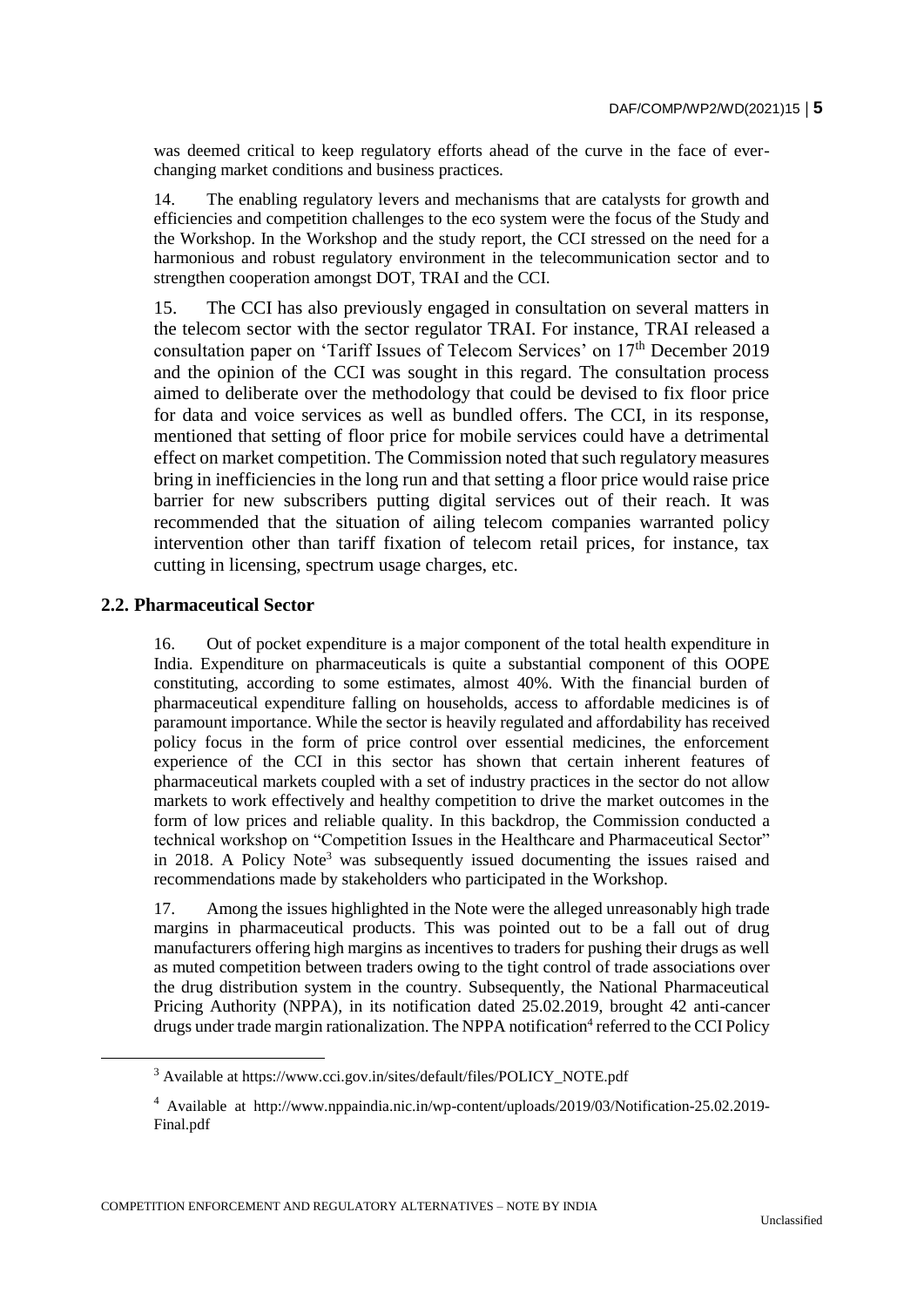was deemed critical to keep regulatory efforts ahead of the curve in the face of everchanging market conditions and business practices.

14. The enabling regulatory levers and mechanisms that are catalysts for growth and efficiencies and competition challenges to the eco system were the focus of the Study and the Workshop. In the Workshop and the study report, the CCI stressed on the need for a harmonious and robust regulatory environment in the telecommunication sector and to strengthen cooperation amongst DOT, TRAI and the CCI.

15. The CCI has also previously engaged in consultation on several matters in the telecom sector with the sector regulator TRAI. For instance, TRAI released a consultation paper on 'Tariff Issues of Telecom Services' on 17<sup>th</sup> December 2019 and the opinion of the CCI was sought in this regard. The consultation process aimed to deliberate over the methodology that could be devised to fix floor price for data and voice services as well as bundled offers. The CCI, in its response, mentioned that setting of floor price for mobile services could have a detrimental effect on market competition. The Commission noted that such regulatory measures bring in inefficiencies in the long run and that setting a floor price would raise price barrier for new subscribers putting digital services out of their reach. It was recommended that the situation of ailing telecom companies warranted policy intervention other than tariff fixation of telecom retail prices, for instance, tax cutting in licensing, spectrum usage charges, etc.

#### **2.2. Pharmaceutical Sector**

16. Out of pocket expenditure is a major component of the total health expenditure in India. Expenditure on pharmaceuticals is quite a substantial component of this OOPE constituting, according to some estimates, almost 40%. With the financial burden of pharmaceutical expenditure falling on households, access to affordable medicines is of paramount importance. While the sector is heavily regulated and affordability has received policy focus in the form of price control over essential medicines, the enforcement experience of the CCI in this sector has shown that certain inherent features of pharmaceutical markets coupled with a set of industry practices in the sector do not allow markets to work effectively and healthy competition to drive the market outcomes in the form of low prices and reliable quality. In this backdrop, the Commission conducted a technical workshop on "Competition Issues in the Healthcare and Pharmaceutical Sector" in 2018. A Policy Note<sup>3</sup> was subsequently issued documenting the issues raised and recommendations made by stakeholders who participated in the Workshop.

17. Among the issues highlighted in the Note were the alleged unreasonably high trade margins in pharmaceutical products. This was pointed out to be a fall out of drug manufacturers offering high margins as incentives to traders for pushing their drugs as well as muted competition between traders owing to the tight control of trade associations over the drug distribution system in the country. Subsequently, the National Pharmaceutical Pricing Authority (NPPA), in its notification dated 25.02.2019, brought 42 anti-cancer drugs under trade margin rationalization. The NPPA notification<sup>4</sup> referred to the CCI Policy

<sup>&</sup>lt;sup>3</sup> Available at https://www.cci.gov.in/sites/default/files/POLICY\_NOTE.pdf

<sup>4</sup> Available at http://www.nppaindia.nic.in/wp-content/uploads/2019/03/Notification-25.02.2019- Final.pdf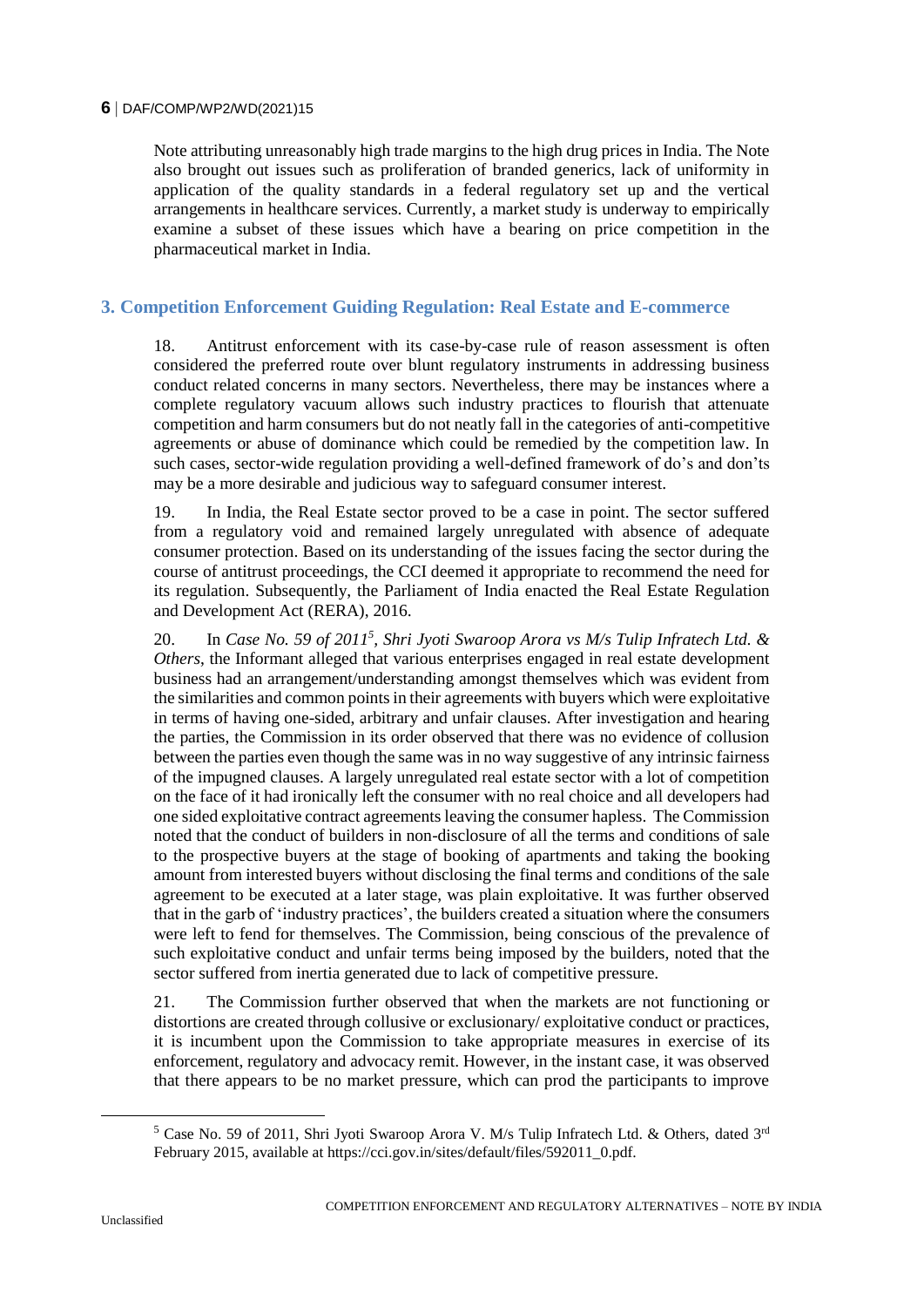#### **6** DAF/COMP/WP2/WD(2021)15

Note attributing unreasonably high trade margins to the high drug prices in India. The Note also brought out issues such as proliferation of branded generics, lack of uniformity in application of the quality standards in a federal regulatory set up and the vertical arrangements in healthcare services. Currently, a market study is underway to empirically examine a subset of these issues which have a bearing on price competition in the pharmaceutical market in India.

# **3. Competition Enforcement Guiding Regulation: Real Estate and E-commerce**

18. Antitrust enforcement with its case-by-case rule of reason assessment is often considered the preferred route over blunt regulatory instruments in addressing business conduct related concerns in many sectors. Nevertheless, there may be instances where a complete regulatory vacuum allows such industry practices to flourish that attenuate competition and harm consumers but do not neatly fall in the categories of anti-competitive agreements or abuse of dominance which could be remedied by the competition law. In such cases, sector-wide regulation providing a well-defined framework of do's and don'ts may be a more desirable and judicious way to safeguard consumer interest.

19. In India, the Real Estate sector proved to be a case in point. The sector suffered from a regulatory void and remained largely unregulated with absence of adequate consumer protection. Based on its understanding of the issues facing the sector during the course of antitrust proceedings, the CCI deemed it appropriate to recommend the need for its regulation. Subsequently, the Parliament of India enacted the Real Estate Regulation and Development Act (RERA), 2016.

20. In *Case No.* 59 of 2011<sup>5</sup>, Shri Jyoti Swaroop Arora vs M/s Tulip Infratech Ltd. & *Others*, the Informant alleged that various enterprises engaged in real estate development business had an arrangement/understanding amongst themselves which was evident from the similarities and common points in their agreements with buyers which were exploitative in terms of having one-sided, arbitrary and unfair clauses. After investigation and hearing the parties, the Commission in its order observed that there was no evidence of collusion between the parties even though the same was in no way suggestive of any intrinsic fairness of the impugned clauses. A largely unregulated real estate sector with a lot of competition on the face of it had ironically left the consumer with no real choice and all developers had one sided exploitative contract agreements leaving the consumer hapless. The Commission noted that the conduct of builders in non-disclosure of all the terms and conditions of sale to the prospective buyers at the stage of booking of apartments and taking the booking amount from interested buyers without disclosing the final terms and conditions of the sale agreement to be executed at a later stage, was plain exploitative. It was further observed that in the garb of 'industry practices', the builders created a situation where the consumers were left to fend for themselves. The Commission, being conscious of the prevalence of such exploitative conduct and unfair terms being imposed by the builders, noted that the sector suffered from inertia generated due to lack of competitive pressure.

21. The Commission further observed that when the markets are not functioning or distortions are created through collusive or exclusionary/ exploitative conduct or practices, it is incumbent upon the Commission to take appropriate measures in exercise of its enforcement, regulatory and advocacy remit. However, in the instant case, it was observed that there appears to be no market pressure, which can prod the participants to improve

<sup>&</sup>lt;sup>5</sup> Case No. 59 of 2011, Shri Jyoti Swaroop Arora V. M/s Tulip Infratech Ltd. & Others, dated 3<sup>rd</sup> February 2015, available at https://cci.gov.in/sites/default/files/592011\_0.pdf.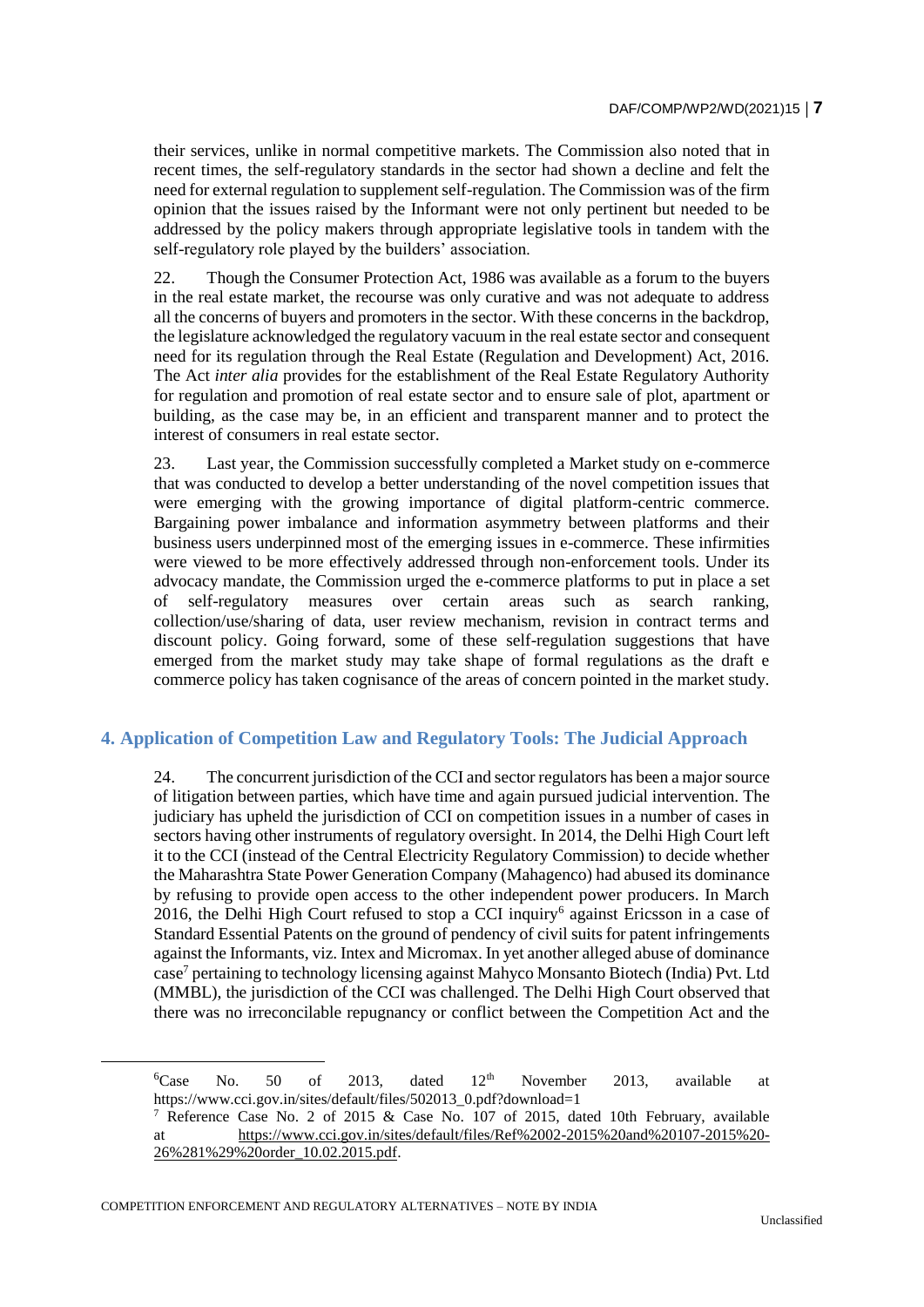their services, unlike in normal competitive markets. The Commission also noted that in recent times, the self-regulatory standards in the sector had shown a decline and felt the need for external regulation to supplement self-regulation. The Commission was of the firm opinion that the issues raised by the Informant were not only pertinent but needed to be addressed by the policy makers through appropriate legislative tools in tandem with the self-regulatory role played by the builders' association.

22. Though the Consumer Protection Act, 1986 was available as a forum to the buyers in the real estate market, the recourse was only curative and was not adequate to address all the concerns of buyers and promoters in the sector. With these concerns in the backdrop, the legislature acknowledged the regulatory vacuum in the real estate sector and consequent need for its regulation through the Real Estate (Regulation and Development) Act, 2016. The Act *inter alia* provides for the establishment of the Real Estate Regulatory Authority for regulation and promotion of real estate sector and to ensure sale of plot, apartment or building, as the case may be, in an efficient and transparent manner and to protect the interest of consumers in real estate sector.

23. Last year, the Commission successfully completed a Market study on e-commerce that was conducted to develop a better understanding of the novel competition issues that were emerging with the growing importance of digital platform-centric commerce. Bargaining power imbalance and information asymmetry between platforms and their business users underpinned most of the emerging issues in e-commerce. These infirmities were viewed to be more effectively addressed through non-enforcement tools. Under its advocacy mandate, the Commission urged the e-commerce platforms to put in place a set of self-regulatory measures over certain areas such as search ranking, collection/use/sharing of data, user review mechanism, revision in contract terms and discount policy. Going forward, some of these self-regulation suggestions that have emerged from the market study may take shape of formal regulations as the draft e commerce policy has taken cognisance of the areas of concern pointed in the market study.

# **4. Application of Competition Law and Regulatory Tools: The Judicial Approach**

24. The concurrent jurisdiction of the CCI and sector regulators has been a major source of litigation between parties, which have time and again pursued judicial intervention. The judiciary has upheld the jurisdiction of CCI on competition issues in a number of cases in sectors having other instruments of regulatory oversight. In 2014, the Delhi High Court left it to the CCI (instead of the Central Electricity Regulatory Commission) to decide whether the Maharashtra State Power Generation Company (Mahagenco) had abused its dominance by refusing to provide open access to the other independent power producers. In March 2016, the Delhi High Court refused to stop a CCI inquiry<sup>6</sup> against Ericsson in a case of Standard Essential Patents on the ground of pendency of civil suits for patent infringements against the Informants, viz. Intex and Micromax. In yet another alleged abuse of dominance case<sup>7</sup> pertaining to technology licensing against Mahyco Monsanto Biotech (India) Pvt. Ltd (MMBL), the jurisdiction of the CCI was challenged. The Delhi High Court observed that there was no irreconcilable repugnancy or conflict between the Competition Act and the

 ${}^{6}$ Case No. 50 of 2013, dated 12<sup>th</sup> November 2013, available at https://www.cci.gov.in/sites/default/files/502013\_0.pdf?download=1

Reference Case No. 2 of 2015 & Case No. 107 of 2015, dated 10th February, available at [https://www.cci.gov.in/sites/default/files/Ref%2002-2015%20and%20107-2015%20-](https://www.cci.gov.in/sites/default/files/Ref%2002-2015%20and%20107-2015%20-26%281%29%20order_10.02.2015.pdf) [26%281%29%20order\\_10.02.2015.pdf.](https://www.cci.gov.in/sites/default/files/Ref%2002-2015%20and%20107-2015%20-26%281%29%20order_10.02.2015.pdf)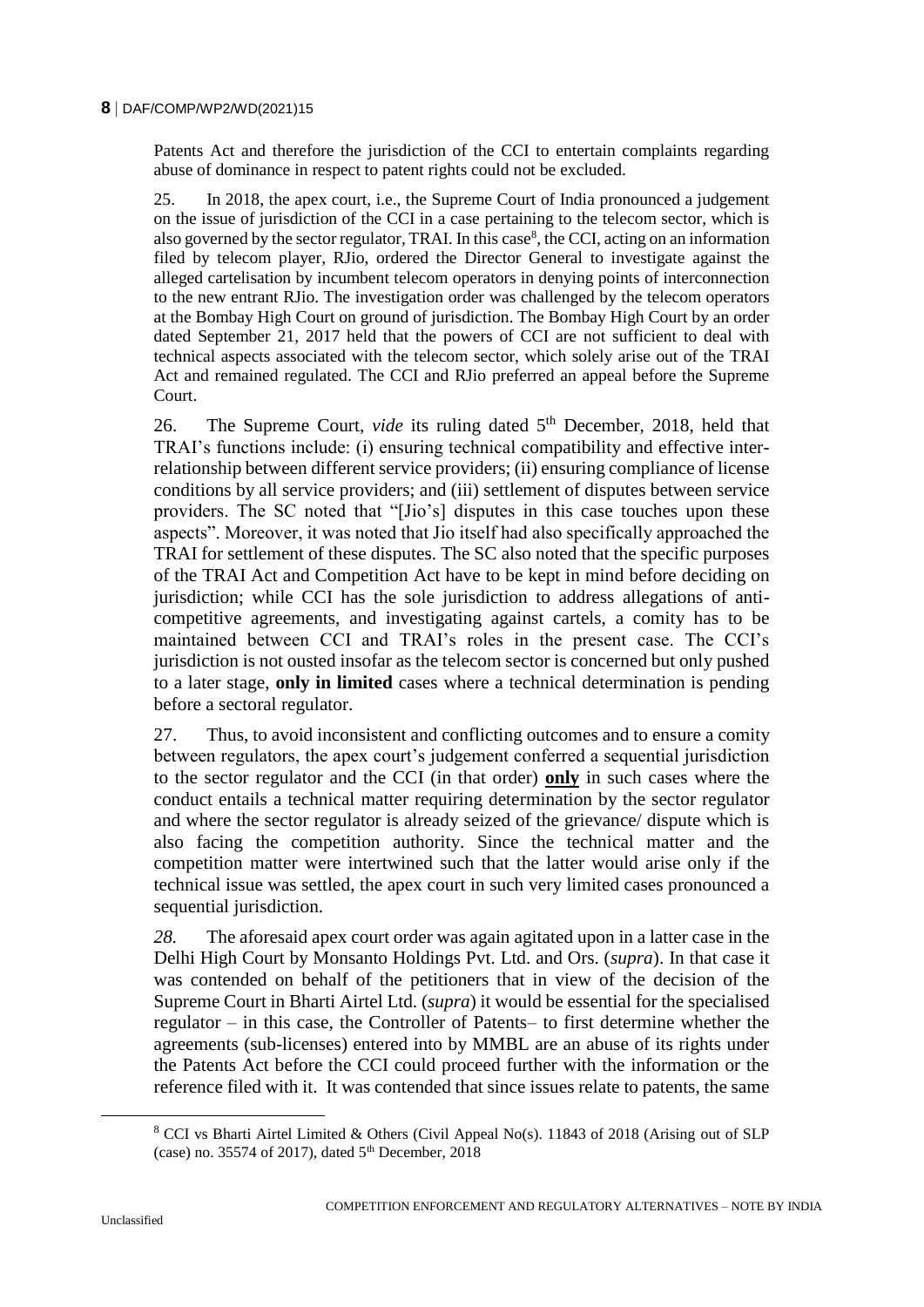#### **8** DAF/COMP/WP2/WD(2021)15

Patents Act and therefore the jurisdiction of the CCI to entertain complaints regarding abuse of dominance in respect to patent rights could not be excluded.

25. In 2018, the apex court, i.e., the Supreme Court of India pronounced a judgement on the issue of jurisdiction of the CCI in a case pertaining to the telecom sector, which is also governed by the sector regulator, TRAI. In this case<sup>8</sup>, the CCI, acting on an information filed by telecom player, RJio, ordered the Director General to investigate against the alleged cartelisation by incumbent telecom operators in denying points of interconnection to the new entrant RJio. The investigation order was challenged by the telecom operators at the Bombay High Court on ground of jurisdiction. The Bombay High Court by an order dated September 21, 2017 held that the powers of CCI are not sufficient to deal with technical aspects associated with the telecom sector, which solely arise out of the TRAI Act and remained regulated. The CCI and RJio preferred an appeal before the Supreme Court.

26. The Supreme Court, *vide* its ruling dated 5<sup>th</sup> December, 2018, held that TRAI's functions include: (i) ensuring technical compatibility and effective interrelationship between different service providers; (ii) ensuring compliance of license conditions by all service providers; and (iii) settlement of disputes between service providers. The SC noted that "[Jio's] disputes in this case touches upon these aspects". Moreover, it was noted that Jio itself had also specifically approached the TRAI for settlement of these disputes. The SC also noted that the specific purposes of the TRAI Act and Competition Act have to be kept in mind before deciding on jurisdiction; while CCI has the sole jurisdiction to address allegations of anticompetitive agreements, and investigating against cartels, a comity has to be maintained between CCI and TRAI's roles in the present case. The CCI's jurisdiction is not ousted insofar as the telecom sector is concerned but only pushed to a later stage, **only in limited** cases where a technical determination is pending before a sectoral regulator.

27. Thus, to avoid inconsistent and conflicting outcomes and to ensure a comity between regulators, the apex court's judgement conferred a sequential jurisdiction to the sector regulator and the CCI (in that order) **only** in such cases where the conduct entails a technical matter requiring determination by the sector regulator and where the sector regulator is already seized of the grievance/ dispute which is also facing the competition authority. Since the technical matter and the competition matter were intertwined such that the latter would arise only if the technical issue was settled, the apex court in such very limited cases pronounced a sequential jurisdiction.

*28.* The aforesaid apex court order was again agitated upon in a latter case in the Delhi High Court by Monsanto Holdings Pvt. Ltd. and Ors. (*supra*). In that case it was contended on behalf of the petitioners that in view of the decision of the Supreme Court in Bharti Airtel Ltd. (*supra*) it would be essential for the specialised regulator – in this case, the Controller of Patents– to first determine whether the agreements (sub-licenses) entered into by MMBL are an abuse of its rights under the Patents Act before the CCI could proceed further with the information or the reference filed with it. It was contended that since issues relate to patents, the same

<sup>8</sup> CCI vs Bharti Airtel Limited & Others (Civil Appeal No(s). 11843 of 2018 (Arising out of SLP (case) no. 35574 of 2017), dated  $5<sup>th</sup>$  December, 2018